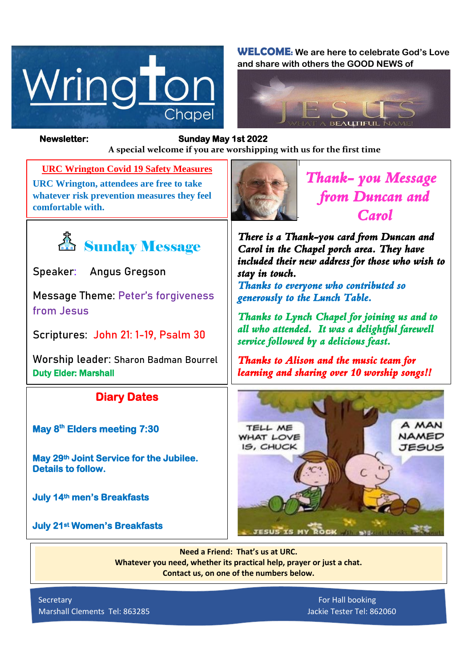

**WELCOME: We are here to celebrate God's Love and share with others the GOOD NEWS of**



**from Jesus**

Duty Elder: Marshall

**Details to follow.** 

*Figure 1ready steady* **A special welcome if you are worshipping with us for the first time Newsletter: Sunday May 1st 2022** 

**URC Wrington Covid 19 Safety Measures URC Wrington, attendees are free to take whatever risk prevention measures they feel comfortable with.**

<u>為</u> Sunday Message

**Message Theme: Peter's forgiveness** 

**Scriptures: John 21: 1-19, Psalm 30**

**Worship leader: Sharon Badman Bourrel**

**Diary Dates** 

**May 29th Joint Service for the Jubilee.** 

**Speaker: Angus Gregson**

**May 8th Elders meeting 7:30** 

**July 14th men's Breakfasts** 

**July 21st Women's Breakfasts** 



*Thank- you Message from Duncan and Carol* 

*There is a Thank-you card from Duncan and Carol in the Chapel porch area. They have included their new address for those who wish to stay in touch.* 

*Thanks to everyone who contributed so generously to the Lunch Table.* 

*Thanks to Lynch Chapel for joining us and to all who attended. It was a delightful farewell service followed by a delicious feast.* 

*Thanks to Alison and the music team for learning and sharing over 10 worship songs!!* 



**Need a Friend: That's us at URC. Whatever you need, whether its practical help, prayer or just a chat. Contact us, on one of the numbers below.**

Secretary For Hall booking Marshall Clements Tel: 863285 Jackie Tester Tel: 862060